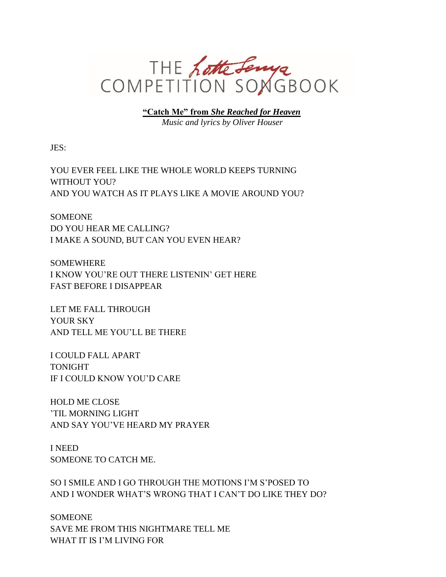

**"Catch Me" from** *She Reached for Heaven Music and lyrics by Oliver Houser*

JES:

YOU EVER FEEL LIKE THE WHOLE WORLD KEEPS TURNING WITHOUT YOU? AND YOU WATCH AS IT PLAYS LIKE A MOVIE AROUND YOU?

SOMEONE DO YOU HEAR ME CALLING? I MAKE A SOUND, BUT CAN YOU EVEN HEAR?

SOMEWHERE I KNOW YOU'RE OUT THERE LISTENIN' GET HERE FAST BEFORE I DISAPPEAR

LET ME FALL THROUGH YOUR SKY AND TELL ME YOU'LL BE THERE

I COULD FALL APART TONIGHT IF I COULD KNOW YOU'D CARE

HOLD ME CLOSE 'TIL MORNING LIGHT AND SAY YOU'VE HEARD MY PRAYER

I NEED SOMEONE TO CATCH ME.

SO I SMILE AND I GO THROUGH THE MOTIONS I'M S'POSED TO AND I WONDER WHAT'S WRONG THAT I CAN'T DO LIKE THEY DO?

SOMEONE SAVE ME FROM THIS NIGHTMARE TELL ME WHAT IT IS I'M LIVING FOR